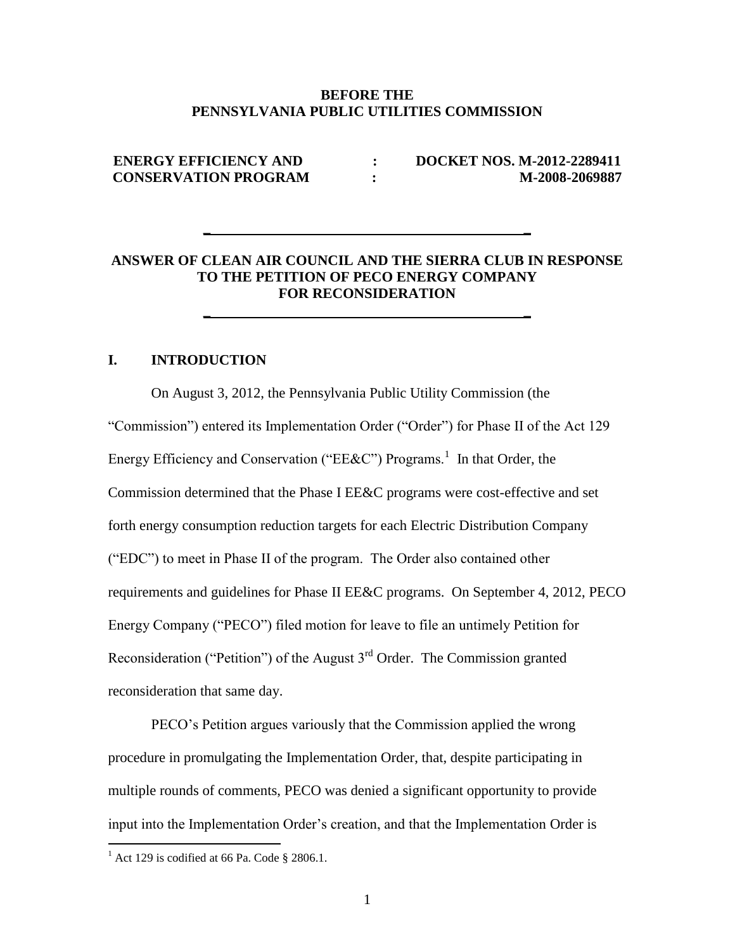#### **BEFORE THE PENNSYLVANIA PUBLIC UTILITIES COMMISSION**

# **ENERGY EFFICIENCY AND : DOCKET NOS. M-2012-2289411 CONSERVATION PROGRAM : M-2008-2069887**

## **ANSWER OF CLEAN AIR COUNCIL AND THE SIERRA CLUB IN RESPONSE TO THE PETITION OF PECO ENERGY COMPANY FOR RECONSIDERATION**

**\_ \_**

**\_ \_**

# **I. INTRODUCTION**

On August 3, 2012, the Pennsylvania Public Utility Commission (the "Commission") entered its Implementation Order ("Order") for Phase II of the Act 129 Energy Efficiency and Conservation ("EE&C") Programs.<sup>1</sup> In that Order, the Commission determined that the Phase I EE&C programs were cost-effective and set forth energy consumption reduction targets for each Electric Distribution Company ("EDC") to meet in Phase II of the program. The Order also contained other requirements and guidelines for Phase II EE&C programs. On September 4, 2012, PECO Energy Company ("PECO") filed motion for leave to file an untimely Petition for Reconsideration ("Petition") of the August  $3<sup>rd</sup>$  Order. The Commission granted reconsideration that same day.

PECO's Petition argues variously that the Commission applied the wrong procedure in promulgating the Implementation Order, that, despite participating in multiple rounds of comments, PECO was denied a significant opportunity to provide input into the Implementation Order's creation, and that the Implementation Order is

 $<sup>1</sup>$  Act 129 is codified at 66 Pa. Code § 2806.1.</sup>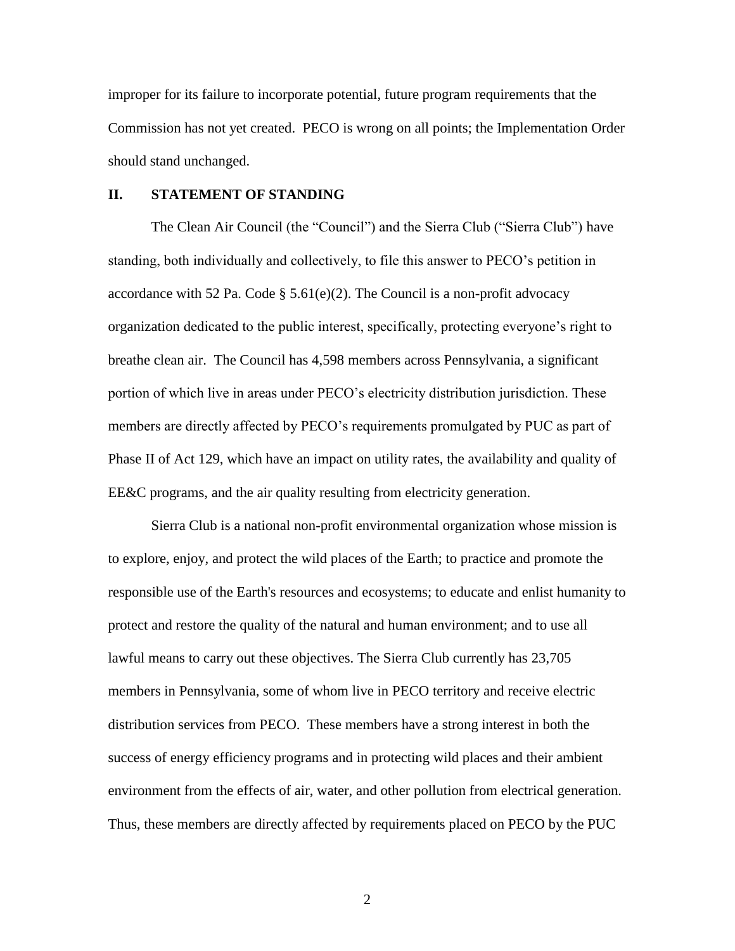improper for its failure to incorporate potential, future program requirements that the Commission has not yet created. PECO is wrong on all points; the Implementation Order should stand unchanged.

#### **II. STATEMENT OF STANDING**

The Clean Air Council (the "Council") and the Sierra Club ("Sierra Club") have standing, both individually and collectively, to file this answer to PECO's petition in accordance with 52 Pa. Code  $\S$  5.61(e)(2). The Council is a non-profit advocacy organization dedicated to the public interest, specifically, protecting everyone's right to breathe clean air. The Council has 4,598 members across Pennsylvania, a significant portion of which live in areas under PECO's electricity distribution jurisdiction. These members are directly affected by PECO's requirements promulgated by PUC as part of Phase II of Act 129, which have an impact on utility rates, the availability and quality of EE&C programs, and the air quality resulting from electricity generation.

Sierra Club is a national non-profit environmental organization whose mission is to explore, enjoy, and protect the wild places of the Earth; to practice and promote the responsible use of the Earth's resources and ecosystems; to educate and enlist humanity to protect and restore the quality of the natural and human environment; and to use all lawful means to carry out these objectives. The Sierra Club currently has 23,705 members in Pennsylvania, some of whom live in PECO territory and receive electric distribution services from PECO. These members have a strong interest in both the success of energy efficiency programs and in protecting wild places and their ambient environment from the effects of air, water, and other pollution from electrical generation. Thus, these members are directly affected by requirements placed on PECO by the PUC

2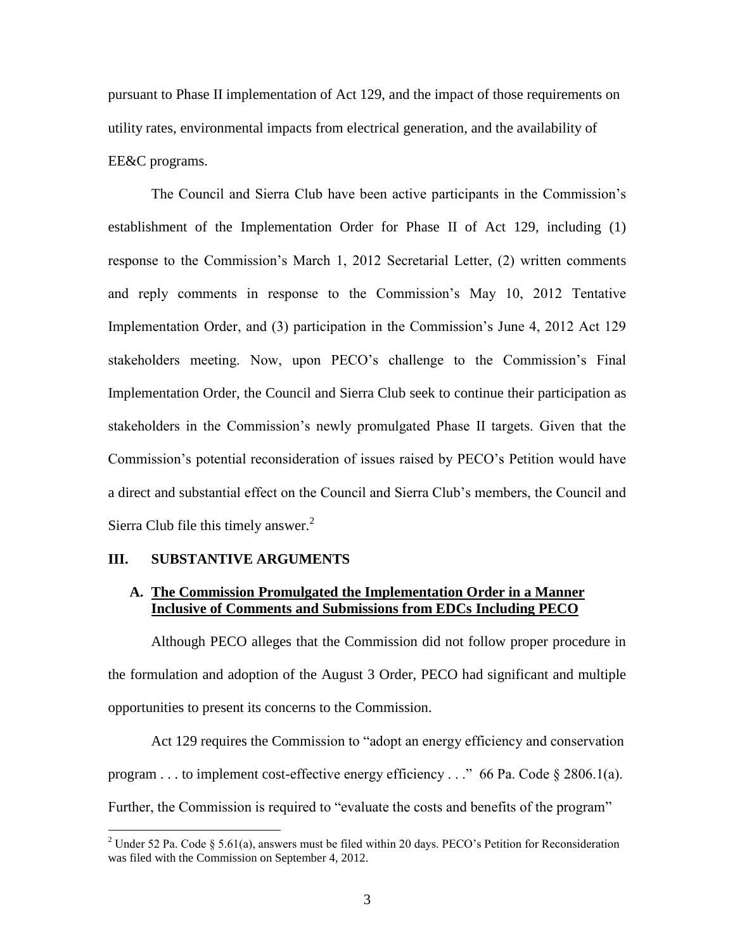pursuant to Phase II implementation of Act 129, and the impact of those requirements on utility rates, environmental impacts from electrical generation, and the availability of EE&C programs.

The Council and Sierra Club have been active participants in the Commission's establishment of the Implementation Order for Phase II of Act 129, including (1) response to the Commission's March 1, 2012 Secretarial Letter, (2) written comments and reply comments in response to the Commission's May 10, 2012 Tentative Implementation Order, and (3) participation in the Commission's June 4, 2012 Act 129 stakeholders meeting. Now, upon PECO's challenge to the Commission's Final Implementation Order, the Council and Sierra Club seek to continue their participation as stakeholders in the Commission's newly promulgated Phase II targets. Given that the Commission's potential reconsideration of issues raised by PECO's Petition would have a direct and substantial effect on the Council and Sierra Club's members, the Council and Sierra Club file this timely answer. $2$ 

#### **III. SUBSTANTIVE ARGUMENTS**

 $\overline{a}$ 

### **A. The Commission Promulgated the Implementation Order in a Manner Inclusive of Comments and Submissions from EDCs Including PECO**

Although PECO alleges that the Commission did not follow proper procedure in the formulation and adoption of the August 3 Order, PECO had significant and multiple opportunities to present its concerns to the Commission.

Act 129 requires the Commission to "adopt an energy efficiency and conservation program . . . to implement cost-effective energy efficiency . . ." 66 Pa. Code § 2806.1(a). Further, the Commission is required to "evaluate the costs and benefits of the program"

<sup>&</sup>lt;sup>2</sup> Under 52 Pa. Code § 5.61(a), answers must be filed within 20 days. PECO's Petition for Reconsideration was filed with the Commission on September 4, 2012.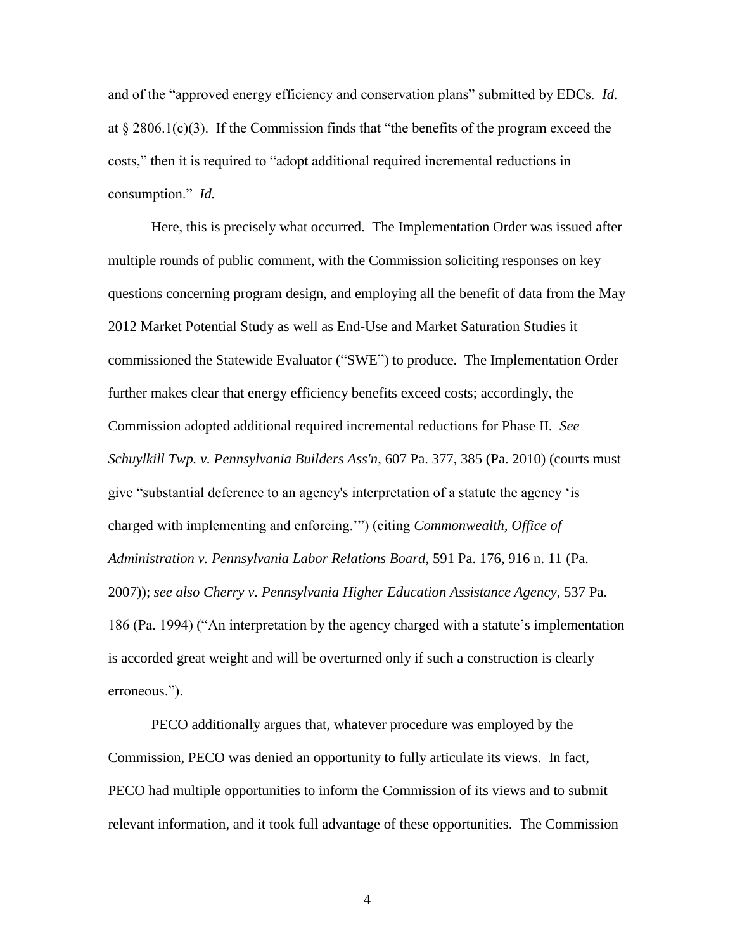and of the "approved energy efficiency and conservation plans" submitted by EDCs. *Id.* at  $\S 2806.1(c)(3)$ . If the Commission finds that "the benefits of the program exceed the costs," then it is required to "adopt additional required incremental reductions in consumption." *Id.*

Here, this is precisely what occurred. The Implementation Order was issued after multiple rounds of public comment, with the Commission soliciting responses on key questions concerning program design, and employing all the benefit of data from the May 2012 Market Potential Study as well as End-Use and Market Saturation Studies it commissioned the Statewide Evaluator ("SWE") to produce. The Implementation Order further makes clear that energy efficiency benefits exceed costs; accordingly, the Commission adopted additional required incremental reductions for Phase II. *See Schuylkill Twp. v. Pennsylvania Builders Ass'n*, 607 Pa. 377, 385 (Pa. 2010) (courts must give "substantial deference to an agency's interpretation of a statute the agency 'is charged with implementing and enforcing.'") (citing *Commonwealth, Office of Administration v. Pennsylvania Labor Relations Board*, 591 Pa. 176, 916 n. 11 (Pa. 2007)); *see also Cherry v. Pennsylvania Higher Education Assistance Agency*, 537 Pa. 186 (Pa. 1994) ("An interpretation by the agency charged with a statute's implementation is accorded great weight and will be overturned only if such a construction is clearly erroneous.").

PECO additionally argues that, whatever procedure was employed by the Commission, PECO was denied an opportunity to fully articulate its views. In fact, PECO had multiple opportunities to inform the Commission of its views and to submit relevant information, and it took full advantage of these opportunities. The Commission

4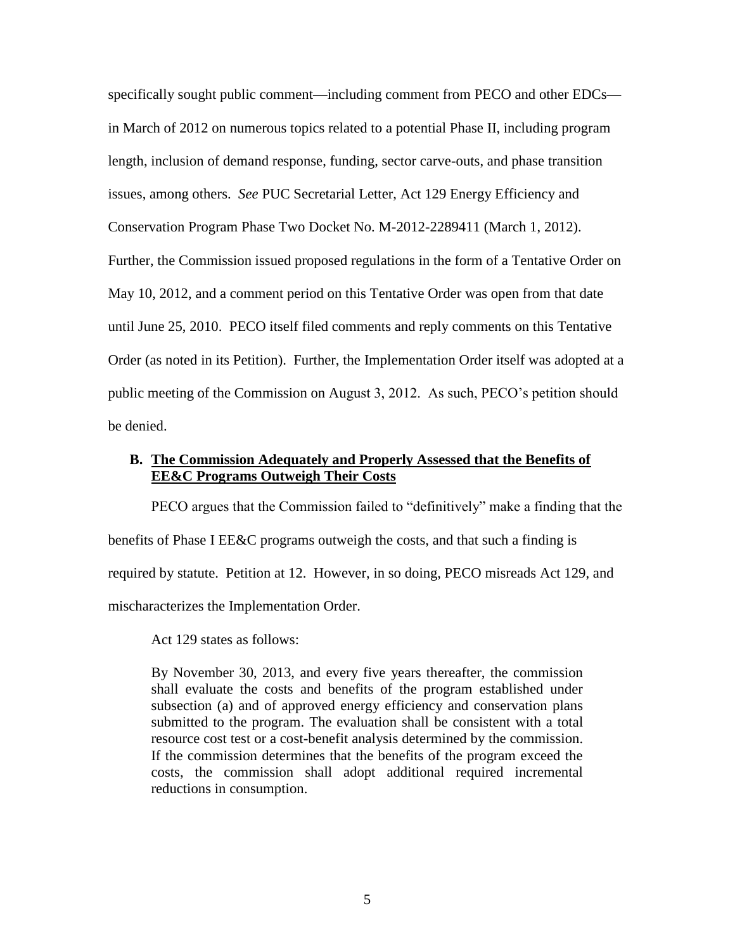specifically sought public comment—including comment from PECO and other EDCs in March of 2012 on numerous topics related to a potential Phase II, including program length, inclusion of demand response, funding, sector carve-outs, and phase transition issues, among others. *See* PUC Secretarial Letter, Act 129 Energy Efficiency and Conservation Program Phase Two Docket No. M-2012-2289411 (March 1, 2012). Further, the Commission issued proposed regulations in the form of a Tentative Order on May 10, 2012, and a comment period on this Tentative Order was open from that date until June 25, 2010. PECO itself filed comments and reply comments on this Tentative Order (as noted in its Petition). Further, the Implementation Order itself was adopted at a public meeting of the Commission on August 3, 2012. As such, PECO's petition should be denied.

### **B. The Commission Adequately and Properly Assessed that the Benefits of EE&C Programs Outweigh Their Costs**

PECO argues that the Commission failed to "definitively" make a finding that the benefits of Phase I EE&C programs outweigh the costs, and that such a finding is required by statute. Petition at 12. However, in so doing, PECO misreads Act 129, and mischaracterizes the Implementation Order.

Act 129 states as follows:

By November 30, 2013, and every five years thereafter, the commission shall evaluate the costs and benefits of the program established under subsection (a) and of approved energy efficiency and conservation plans submitted to the program. The evaluation shall be consistent with a total resource cost test or a cost-benefit analysis determined by the commission. If the commission determines that the benefits of the program exceed the costs, the commission shall adopt additional required incremental reductions in consumption.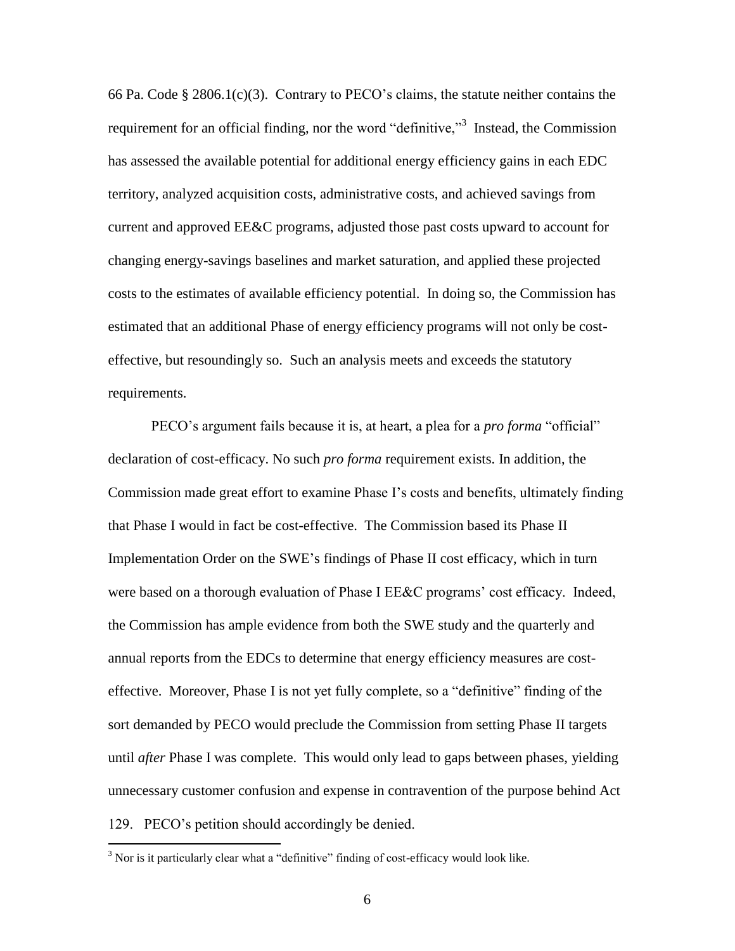66 Pa. Code § 2806.1(c)(3). Contrary to PECO's claims, the statute neither contains the requirement for an official finding, nor the word "definitive,"<sup>3</sup> Instead, the Commission has assessed the available potential for additional energy efficiency gains in each EDC territory, analyzed acquisition costs, administrative costs, and achieved savings from current and approved EE&C programs, adjusted those past costs upward to account for changing energy-savings baselines and market saturation, and applied these projected costs to the estimates of available efficiency potential. In doing so, the Commission has estimated that an additional Phase of energy efficiency programs will not only be costeffective, but resoundingly so. Such an analysis meets and exceeds the statutory requirements.

PECO's argument fails because it is, at heart, a plea for a *pro forma* "official" declaration of cost-efficacy. No such *pro forma* requirement exists. In addition, the Commission made great effort to examine Phase I's costs and benefits, ultimately finding that Phase I would in fact be cost-effective. The Commission based its Phase II Implementation Order on the SWE's findings of Phase II cost efficacy, which in turn were based on a thorough evaluation of Phase I EE&C programs' cost efficacy. Indeed, the Commission has ample evidence from both the SWE study and the quarterly and annual reports from the EDCs to determine that energy efficiency measures are costeffective. Moreover, Phase I is not yet fully complete, so a "definitive" finding of the sort demanded by PECO would preclude the Commission from setting Phase II targets until *after* Phase I was complete. This would only lead to gaps between phases, yielding unnecessary customer confusion and expense in contravention of the purpose behind Act 129. PECO's petition should accordingly be denied.

 $3$  Nor is it particularly clear what a "definitive" finding of cost-efficacy would look like.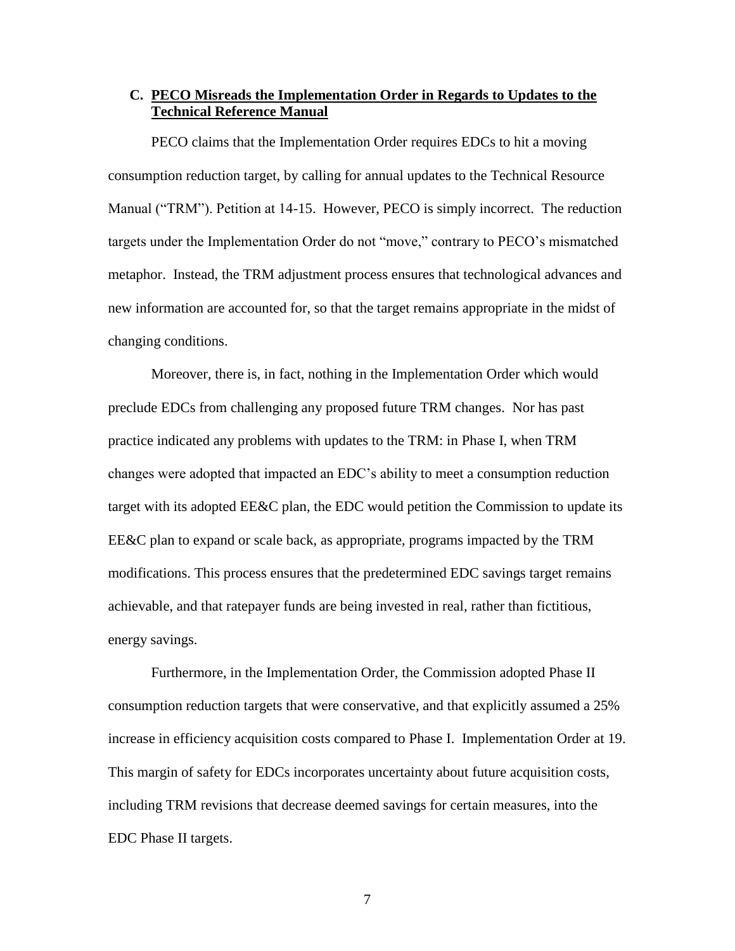### **C. PECO Misreads the Implementation Order in Regards to Updates to the Technical Reference Manual**

PECO claims that the Implementation Order requires EDCs to hit a moving consumption reduction target, by calling for annual updates to the Technical Resource Manual ("TRM"). Petition at 14-15. However, PECO is simply incorrect. The reduction targets under the Implementation Order do not "move," contrary to PECO's mismatched metaphor. Instead, the TRM adjustment process ensures that technological advances and new information are accounted for, so that the target remains appropriate in the midst of changing conditions.

Moreover, there is, in fact, nothing in the Implementation Order which would preclude EDCs from challenging any proposed future TRM changes. Nor has past practice indicated any problems with updates to the TRM: in Phase I, when TRM changes were adopted that impacted an EDC's ability to meet a consumption reduction target with its adopted EE&C plan, the EDC would petition the Commission to update its EE&C plan to expand or scale back, as appropriate, programs impacted by the TRM modifications. This process ensures that the predetermined EDC savings target remains achievable, and that ratepayer funds are being invested in real, rather than fictitious, energy savings.

Furthermore, in the Implementation Order, the Commission adopted Phase II consumption reduction targets that were conservative, and that explicitly assumed a 25% increase in efficiency acquisition costs compared to Phase I. Implementation Order at 19. This margin of safety for EDCs incorporates uncertainty about future acquisition costs, including TRM revisions that decrease deemed savings for certain measures, into the EDC Phase II targets.

7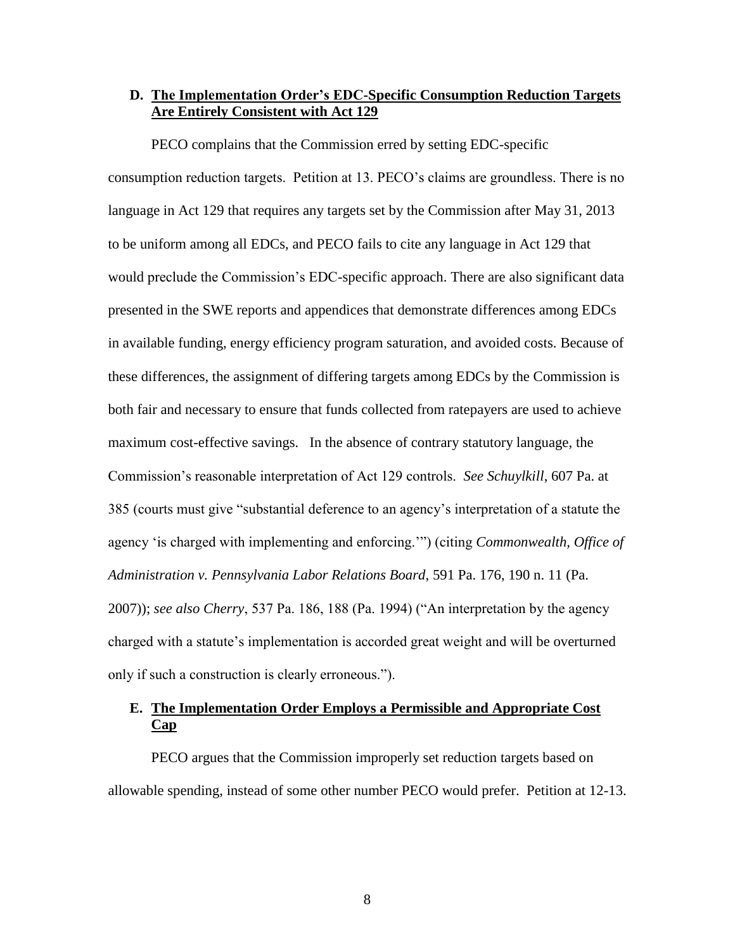### **D. The Implementation Order's EDC-Specific Consumption Reduction Targets Are Entirely Consistent with Act 129**

PECO complains that the Commission erred by setting EDC-specific consumption reduction targets. Petition at 13. PECO's claims are groundless. There is no language in Act 129 that requires any targets set by the Commission after May 31, 2013 to be uniform among all EDCs, and PECO fails to cite any language in Act 129 that would preclude the Commission's EDC-specific approach. There are also significant data presented in the SWE reports and appendices that demonstrate differences among EDCs in available funding, energy efficiency program saturation, and avoided costs. Because of these differences, the assignment of differing targets among EDCs by the Commission is both fair and necessary to ensure that funds collected from ratepayers are used to achieve maximum cost-effective savings. In the absence of contrary statutory language, the Commission's reasonable interpretation of Act 129 controls. *See Schuylkill*, 607 Pa. at 385 (courts must give "substantial deference to an agency's interpretation of a statute the agency 'is charged with implementing and enforcing.'") (citing *Commonwealth, Office of Administration v. Pennsylvania Labor Relations Board*, 591 Pa. 176, 190 n. 11 (Pa. 2007)); *see also Cherry*, 537 Pa. 186, 188 (Pa. 1994) ("An interpretation by the agency charged with a statute's implementation is accorded great weight and will be overturned only if such a construction is clearly erroneous.").

# **E. The Implementation Order Employs a Permissible and Appropriate Cost Cap**

PECO argues that the Commission improperly set reduction targets based on allowable spending, instead of some other number PECO would prefer. Petition at 12-13.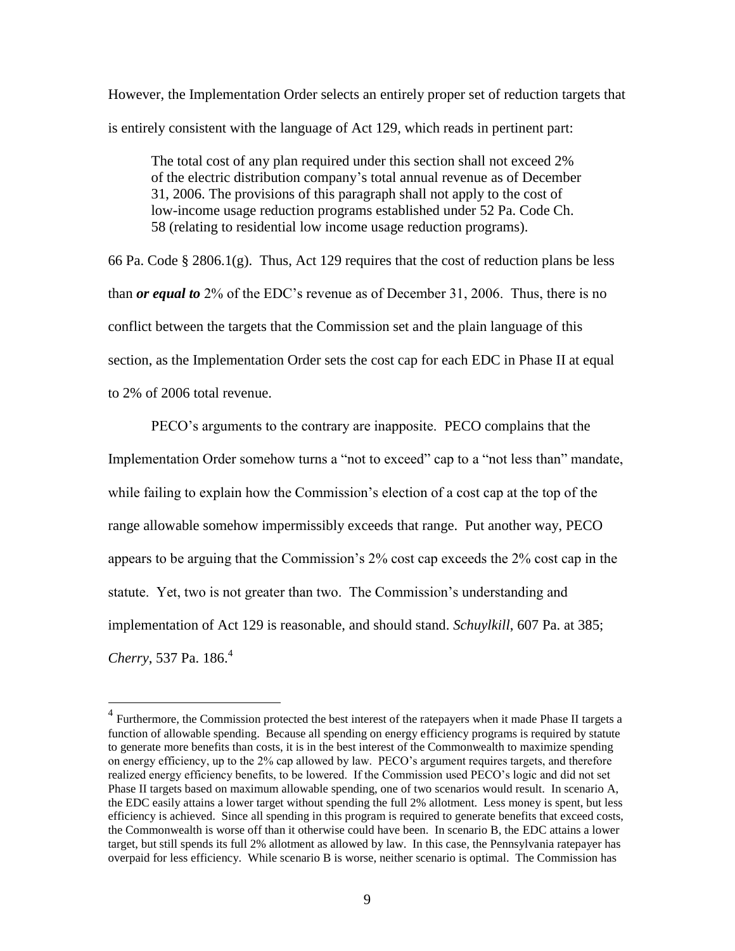However, the Implementation Order selects an entirely proper set of reduction targets that is entirely consistent with the language of Act 129, which reads in pertinent part:

The total cost of any plan required under this section shall not exceed 2% of the electric distribution company's total annual revenue as of December 31, 2006. The provisions of this paragraph shall not apply to the cost of low-income usage reduction programs established under 52 Pa. Code Ch. 58 (relating to residential low income usage reduction programs).

66 Pa. Code § 2806.1(g). Thus, Act 129 requires that the cost of reduction plans be less than *or equal to* 2% of the EDC's revenue as of December 31, 2006. Thus, there is no conflict between the targets that the Commission set and the plain language of this section, as the Implementation Order sets the cost cap for each EDC in Phase II at equal to 2% of 2006 total revenue.

PECO's arguments to the contrary are inapposite. PECO complains that the Implementation Order somehow turns a "not to exceed" cap to a "not less than" mandate, while failing to explain how the Commission's election of a cost cap at the top of the range allowable somehow impermissibly exceeds that range. Put another way, PECO appears to be arguing that the Commission's 2% cost cap exceeds the 2% cost cap in the statute. Yet, two is not greater than two. The Commission's understanding and implementation of Act 129 is reasonable, and should stand. *Schuylkill*, 607 Pa. at 385; *Cherry*, 537 Pa. 186.<sup>4</sup>

<sup>&</sup>lt;sup>4</sup><br><sup>4</sup> Furthermore, the Commission protected the best interest of the ratepayers when it made Phase II targets a function of allowable spending. Because all spending on energy efficiency programs is required by statute to generate more benefits than costs, it is in the best interest of the Commonwealth to maximize spending on energy efficiency, up to the 2% cap allowed by law. PECO's argument requires targets, and therefore realized energy efficiency benefits, to be lowered. If the Commission used PECO's logic and did not set Phase II targets based on maximum allowable spending, one of two scenarios would result. In scenario A, the EDC easily attains a lower target without spending the full 2% allotment. Less money is spent, but less efficiency is achieved. Since all spending in this program is required to generate benefits that exceed costs, the Commonwealth is worse off than it otherwise could have been. In scenario B, the EDC attains a lower target, but still spends its full 2% allotment as allowed by law. In this case, the Pennsylvania ratepayer has overpaid for less efficiency. While scenario B is worse, neither scenario is optimal. The Commission has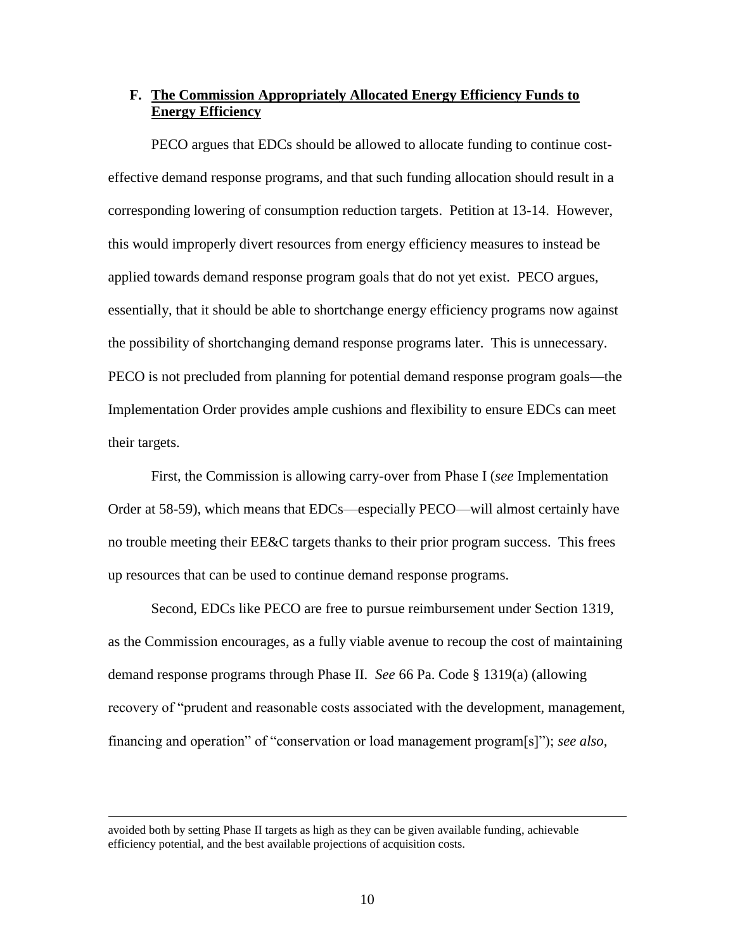### **F. The Commission Appropriately Allocated Energy Efficiency Funds to Energy Efficiency**

PECO argues that EDCs should be allowed to allocate funding to continue costeffective demand response programs, and that such funding allocation should result in a corresponding lowering of consumption reduction targets. Petition at 13-14. However, this would improperly divert resources from energy efficiency measures to instead be applied towards demand response program goals that do not yet exist. PECO argues, essentially, that it should be able to shortchange energy efficiency programs now against the possibility of shortchanging demand response programs later. This is unnecessary. PECO is not precluded from planning for potential demand response program goals—the Implementation Order provides ample cushions and flexibility to ensure EDCs can meet their targets.

First, the Commission is allowing carry-over from Phase I (*see* Implementation Order at 58-59), which means that EDCs—especially PECO—will almost certainly have no trouble meeting their EE&C targets thanks to their prior program success. This frees up resources that can be used to continue demand response programs.

Second, EDCs like PECO are free to pursue reimbursement under Section 1319, as the Commission encourages, as a fully viable avenue to recoup the cost of maintaining demand response programs through Phase II. *See* 66 Pa. Code § 1319(a) (allowing recovery of "prudent and reasonable costs associated with the development, management, financing and operation" of "conservation or load management program[s]"); *see also,* 

avoided both by setting Phase II targets as high as they can be given available funding, achievable efficiency potential, and the best available projections of acquisition costs.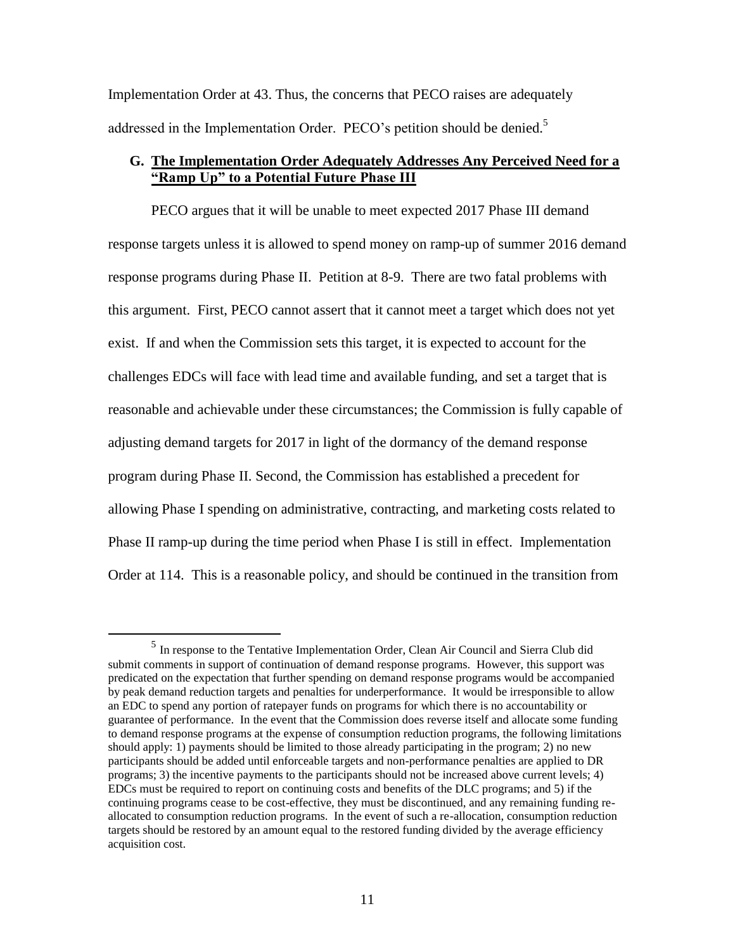Implementation Order at 43. Thus, the concerns that PECO raises are adequately addressed in the Implementation Order. PECO's petition should be denied.<sup>5</sup>

### **G. The Implementation Order Adequately Addresses Any Perceived Need for a "Ramp Up" to a Potential Future Phase III**

PECO argues that it will be unable to meet expected 2017 Phase III demand response targets unless it is allowed to spend money on ramp-up of summer 2016 demand response programs during Phase II. Petition at 8-9. There are two fatal problems with this argument. First, PECO cannot assert that it cannot meet a target which does not yet exist. If and when the Commission sets this target, it is expected to account for the challenges EDCs will face with lead time and available funding, and set a target that is reasonable and achievable under these circumstances; the Commission is fully capable of adjusting demand targets for 2017 in light of the dormancy of the demand response program during Phase II. Second, the Commission has established a precedent for allowing Phase I spending on administrative, contracting, and marketing costs related to Phase II ramp-up during the time period when Phase I is still in effect. Implementation Order at 114. This is a reasonable policy, and should be continued in the transition from

<sup>&</sup>lt;sup>5</sup> In response to the Tentative Implementation Order, Clean Air Council and Sierra Club did submit comments in support of continuation of demand response programs. However, this support was predicated on the expectation that further spending on demand response programs would be accompanied by peak demand reduction targets and penalties for underperformance. It would be irresponsible to allow an EDC to spend any portion of ratepayer funds on programs for which there is no accountability or guarantee of performance. In the event that the Commission does reverse itself and allocate some funding to demand response programs at the expense of consumption reduction programs, the following limitations should apply: 1) payments should be limited to those already participating in the program; 2) no new participants should be added until enforceable targets and non-performance penalties are applied to DR programs; 3) the incentive payments to the participants should not be increased above current levels; 4) EDCs must be required to report on continuing costs and benefits of the DLC programs; and 5) if the continuing programs cease to be cost-effective, they must be discontinued, and any remaining funding reallocated to consumption reduction programs. In the event of such a re-allocation, consumption reduction targets should be restored by an amount equal to the restored funding divided by the average efficiency acquisition cost.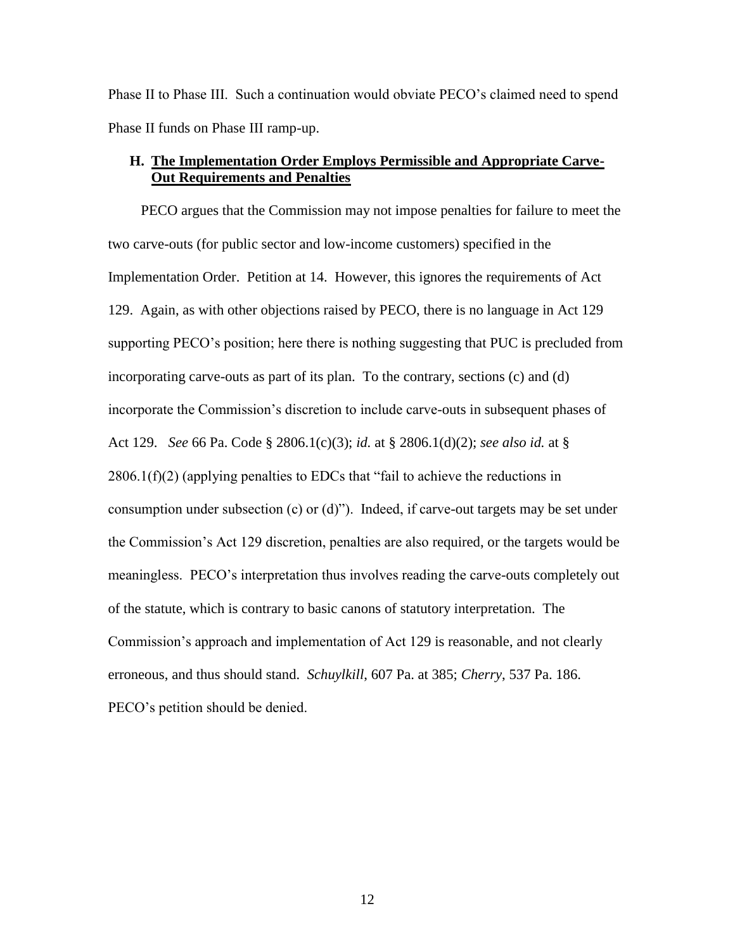Phase II to Phase III. Such a continuation would obviate PECO's claimed need to spend Phase II funds on Phase III ramp-up.

# **H. The Implementation Order Employs Permissible and Appropriate Carve-Out Requirements and Penalties**

PECO argues that the Commission may not impose penalties for failure to meet the two carve-outs (for public sector and low-income customers) specified in the Implementation Order. Petition at 14. However, this ignores the requirements of Act 129. Again, as with other objections raised by PECO, there is no language in Act 129 supporting PECO's position; here there is nothing suggesting that PUC is precluded from incorporating carve-outs as part of its plan. To the contrary, sections (c) and (d) incorporate the Commission's discretion to include carve-outs in subsequent phases of Act 129. *See* 66 Pa. Code § 2806.1(c)(3); *id.* at § 2806.1(d)(2); *see also id.* at §  $2806.1(f)(2)$  (applying penalties to EDCs that "fail to achieve the reductions in consumption under subsection (c) or (d)"). Indeed, if carve-out targets may be set under the Commission's Act 129 discretion, penalties are also required, or the targets would be meaningless. PECO's interpretation thus involves reading the carve-outs completely out of the statute, which is contrary to basic canons of statutory interpretation. The Commission's approach and implementation of Act 129 is reasonable, and not clearly erroneous, and thus should stand. *Schuylkill*, 607 Pa. at 385; *Cherry*, 537 Pa. 186. PECO's petition should be denied.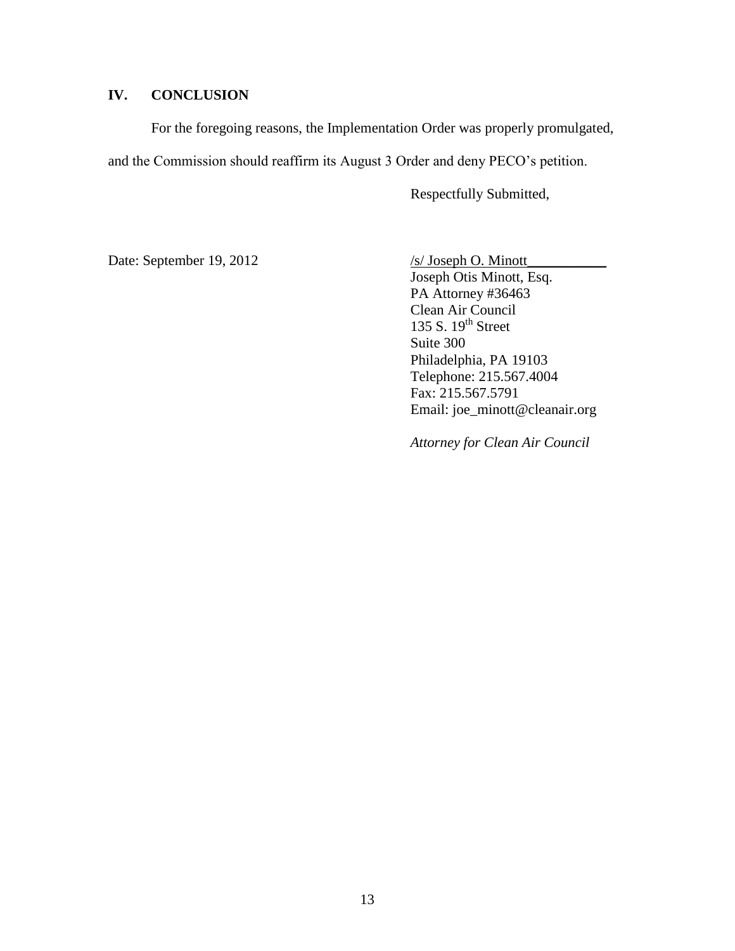# **IV. CONCLUSION**

For the foregoing reasons, the Implementation Order was properly promulgated, and the Commission should reaffirm its August 3 Order and deny PECO's petition.

Respectfully Submitted,

Date: September 19, 2012 /s/ Joseph O. Minott\_

Joseph Otis Minott, Esq. PA Attorney #36463 Clean Air Council 135 S.  $19<sup>th</sup>$  Street Suite 300 Philadelphia, PA 19103 Telephone: 215.567.4004 Fax: 215.567.5791 Email: joe\_minott@cleanair.org

*Attorney for Clean Air Council*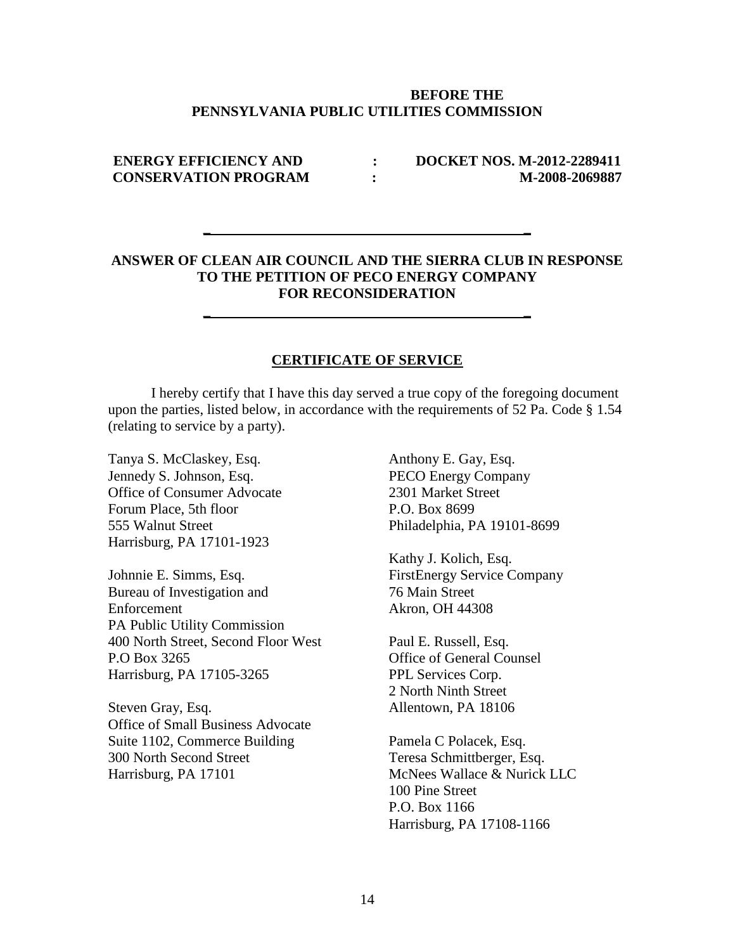#### **BEFORE THE PENNSYLVANIA PUBLIC UTILITIES COMMISSION**

## **ENERGY EFFICIENCY AND : DOCKET NOS. M-2012-2289411 CONSERVATION PROGRAM :** M-2008-2069887

## **ANSWER OF CLEAN AIR COUNCIL AND THE SIERRA CLUB IN RESPONSE TO THE PETITION OF PECO ENERGY COMPANY FOR RECONSIDERATION**

**\_ \_**

**\_ \_**

#### **CERTIFICATE OF SERVICE**

I hereby certify that I have this day served a true copy of the foregoing document upon the parties, listed below, in accordance with the requirements of 52 Pa. Code § 1.54 (relating to service by a party).

Tanya S. McClaskey, Esq. Jennedy S. Johnson, Esq. Office of Consumer Advocate Forum Place, 5th floor 555 Walnut Street Harrisburg, PA 17101-1923

Johnnie E. Simms, Esq. Bureau of Investigation and Enforcement PA Public Utility Commission 400 North Street, Second Floor West P.O Box 3265 Harrisburg, PA 17105-3265

Steven Gray, Esq. Office of Small Business Advocate Suite 1102, Commerce Building 300 North Second Street Harrisburg, PA 17101

Anthony E. Gay, Esq. PECO Energy Company 2301 Market Street P.O. Box 8699 Philadelphia, PA 19101-8699

Kathy J. Kolich, Esq. FirstEnergy Service Company 76 Main Street Akron, OH 44308

Paul E. Russell, Esq. Office of General Counsel PPL Services Corp. 2 North Ninth Street Allentown, PA 18106

Pamela C Polacek, Esq. Teresa Schmittberger, Esq. McNees Wallace & Nurick LLC 100 Pine Street P.O. Box 1166 Harrisburg, PA 17108-1166